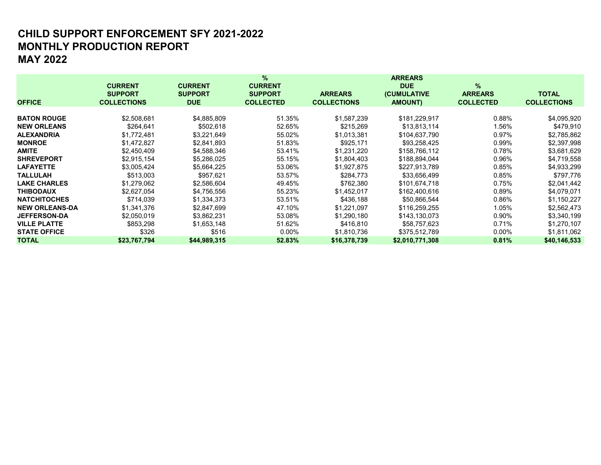## MONTHLY PRODUCTION REPORT MAY 2022 CHILD SUPPORT ENFORCEMENT SFY 2021-2022

|                       |                    |                | %                |                    | <b>ARREARS</b>  |                  |                    |
|-----------------------|--------------------|----------------|------------------|--------------------|-----------------|------------------|--------------------|
|                       | <b>CURRENT</b>     | <b>CURRENT</b> | <b>CURRENT</b>   |                    | <b>DUE</b>      | %                |                    |
|                       | <b>SUPPORT</b>     | <b>SUPPORT</b> | <b>SUPPORT</b>   | <b>ARREARS</b>     | (CUMULATIVE     | <b>ARREARS</b>   | <b>TOTAL</b>       |
| <b>OFFICE</b>         | <b>COLLECTIONS</b> | <b>DUE</b>     | <b>COLLECTED</b> | <b>COLLECTIONS</b> | <b>AMOUNT)</b>  | <b>COLLECTED</b> | <b>COLLECTIONS</b> |
|                       |                    |                |                  |                    |                 |                  |                    |
| <b>BATON ROUGE</b>    | \$2,508,681        | \$4,885,809    | 51.35%           | \$1,587,239        | \$181,229,917   | 0.88%            | \$4,095,920        |
| <b>NEW ORLEANS</b>    | \$264,641          | \$502,618      | 52.65%           | \$215,269          | \$13,813,114    | 1.56%            | \$479,910          |
| <b>ALEXANDRIA</b>     | \$1,772,481        | \$3,221,649    | 55.02%           | \$1.013.381        | \$104.637.790   | 0.97%            | \$2,785,862        |
| <b>MONROE</b>         | \$1,472,827        | \$2,841,893    | 51.83%           | \$925,171          | \$93,258,425    | 0.99%            | \$2,397,998        |
| <b>AMITE</b>          | \$2.450.409        | \$4,588,346    | 53.41%           | \$1.231.220        | \$158.766.112   | 0.78%            | \$3,681,629        |
| <b>SHREVEPORT</b>     | \$2,915,154        | \$5,286,025    | 55.15%           | \$1,804,403        | \$188,894,044   | 0.96%            | \$4,719,558        |
| <b>LAFAYETTE</b>      | \$3,005,424        | \$5,664,225    | 53.06%           | \$1,927,875        | \$227.913.789   | 0.85%            | \$4,933,299        |
| <b>TALLULAH</b>       | \$513,003          | \$957.621      | 53.57%           | \$284,773          | \$33,656,499    | 0.85%            | \$797,776          |
| <b>LAKE CHARLES</b>   | \$1,279,062        | \$2,586,604    | 49.45%           | \$762,380          | \$101.674.718   | 0.75%            | \$2,041,442        |
| <b>THIBODAUX</b>      | \$2,627,054        | \$4,756,556    | 55.23%           | \$1,452,017        | \$162,400,616   | $0.89\%$         | \$4,079,071        |
| <b>NATCHITOCHES</b>   | \$714.039          | \$1,334,373    | 53.51%           | \$436,188          | \$50,866,544    | 0.86%            | \$1,150,227        |
| <b>NEW ORLEANS-DA</b> | \$1.341.376        | \$2,847,699    | 47.10%           | \$1.221.097        | \$116.259.255   | 1.05%            | \$2,562,473        |
| <b>JEFFERSON-DA</b>   | \$2,050,019        | \$3,862,231    | 53.08%           | \$1,290,180        | \$143,130,073   | 0.90%            | \$3,340,199        |
| <b>VILLE PLATTE</b>   | \$853,298          | \$1,653,148    | 51.62%           | \$416,810          | \$58,757,623    | 0.71%            | \$1,270,107        |
| <b>STATE OFFICE</b>   | \$326              | \$516          | $0.00\%$         | \$1,810,736        | \$375,512,789   | $0.00\%$         | \$1,811,062        |
| <b>TOTAL</b>          | \$23,767,794       | \$44,989,315   | 52.83%           | \$16,378,739       | \$2,010,771,308 | 0.81%            | \$40,146,533       |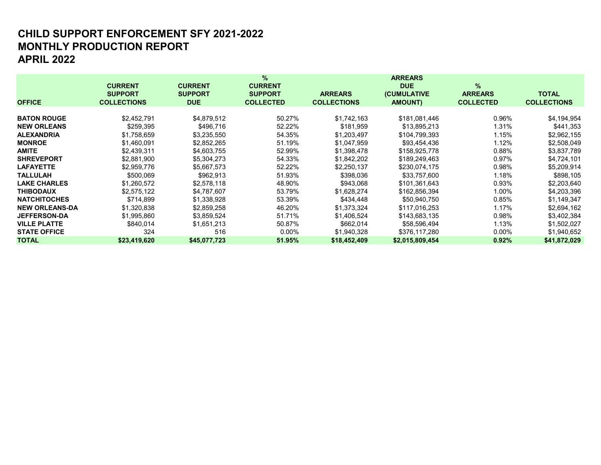## MONTHLY PRODUCTION REPORT APRIL 2022 CHILD SUPPORT ENFORCEMENT SFY 2021-2022

|                       |                    |                | %                |                    | <b>ARREARS</b>  |                  |                    |
|-----------------------|--------------------|----------------|------------------|--------------------|-----------------|------------------|--------------------|
|                       | <b>CURRENT</b>     | <b>CURRENT</b> | <b>CURRENT</b>   |                    | <b>DUE</b>      | $\%$             |                    |
|                       | <b>SUPPORT</b>     | <b>SUPPORT</b> | <b>SUPPORT</b>   | <b>ARREARS</b>     | (CUMULATIVE     | <b>ARREARS</b>   | <b>TOTAL</b>       |
| <b>OFFICE</b>         | <b>COLLECTIONS</b> | <b>DUE</b>     | <b>COLLECTED</b> | <b>COLLECTIONS</b> | <b>AMOUNT)</b>  | <b>COLLECTED</b> | <b>COLLECTIONS</b> |
|                       |                    |                |                  |                    |                 |                  |                    |
| <b>BATON ROUGE</b>    | \$2,452,791        | \$4,879,512    | 50.27%           | \$1,742,163        | \$181,081,446   | 0.96%            | \$4,194,954        |
| <b>NEW ORLEANS</b>    | \$259,395          | \$496,716      | 52.22%           | \$181,959          | \$13,895,213    | 1.31%            | \$441,353          |
| <b>ALEXANDRIA</b>     | \$1,758,659        | \$3,235,550    | 54.35%           | \$1,203,497        | \$104,799,393   | 1.15%            | \$2,962,155        |
| <b>MONROE</b>         | \$1,460,091        | \$2,852,265    | 51.19%           | \$1,047,959        | \$93,454,436    | 1.12%            | \$2,508,049        |
| <b>AMITE</b>          | \$2,439,311        | \$4,603,755    | 52.99%           | \$1,398,478        | \$158,925,778   | $0.88\%$         | \$3,837,789        |
| <b>SHREVEPORT</b>     | \$2,881,900        | \$5,304,273    | 54.33%           | \$1,842,202        | \$189,249,463   | 0.97%            | \$4,724,101        |
| <b>LAFAYETTE</b>      | \$2,959,776        | \$5,667,573    | 52.22%           | \$2,250,137        | \$230,074,175   | 0.98%            | \$5,209,914        |
| <b>TALLULAH</b>       | \$500,069          | \$962,913      | 51.93%           | \$398,036          | \$33,757,600    | 1.18%            | \$898,105          |
| <b>LAKE CHARLES</b>   | \$1,260,572        | \$2,578,118    | 48.90%           | \$943,068          | \$101.361.643   | 0.93%            | \$2,203,640        |
| <b>THIBODAUX</b>      | \$2,575,122        | \$4,787,607    | 53.79%           | \$1,628,274        | \$162,856,394   | 1.00%            | \$4,203,396        |
| <b>NATCHITOCHES</b>   | \$714,899          | \$1,338,928    | 53.39%           | \$434,448          | \$50,940,750    | $0.85\%$         | \$1,149,347        |
| <b>NEW ORLEANS-DA</b> | \$1,320,838        | \$2,859,258    | 46.20%           | \$1,373,324        | \$117,016,253   | 1.17%            | \$2,694,162        |
| <b>JEFFERSON-DA</b>   | \$1,995,860        | \$3,859,524    | 51.71%           | \$1,406,524        | \$143,683,135   | 0.98%            | \$3,402,384        |
| <b>VILLE PLATTE</b>   | \$840,014          | \$1,651,213    | 50.87%           | \$662,014          | \$58,596,494    | 1.13%            | \$1,502,027        |
| <b>STATE OFFICE</b>   | 324                | 516            | $0.00\%$         | \$1,940,328        | \$376,117,280   | $0.00\%$         | \$1,940,652        |
| <b>TOTAL</b>          | \$23,419,620       | \$45,077,723   | 51.95%           | \$18,452,409       | \$2,015,809,454 | 0.92%            | \$41,872,029       |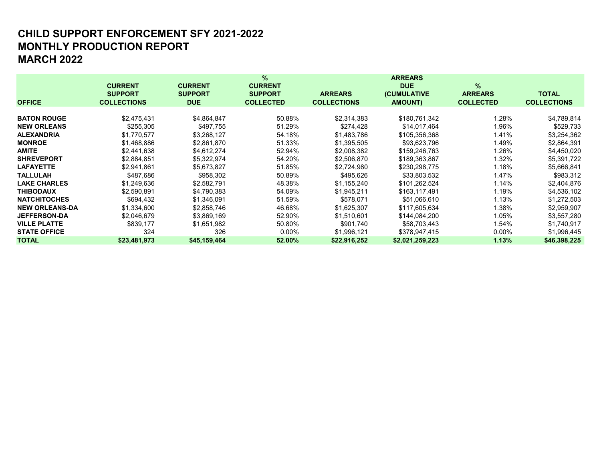# MONTHLY PRODUCTION REPORT MARCH 2022 CHILD SUPPORT ENFORCEMENT SFY 2021-2022

|                       |                    |                | %                |                    | <b>ARREARS</b>  |                  |                    |
|-----------------------|--------------------|----------------|------------------|--------------------|-----------------|------------------|--------------------|
|                       | <b>CURRENT</b>     | <b>CURRENT</b> | <b>CURRENT</b>   |                    | <b>DUE</b>      | %                |                    |
|                       | <b>SUPPORT</b>     | <b>SUPPORT</b> | <b>SUPPORT</b>   | <b>ARREARS</b>     | (CUMULATIVE     | <b>ARREARS</b>   | <b>TOTAL</b>       |
| <b>OFFICE</b>         | <b>COLLECTIONS</b> | <b>DUE</b>     | <b>COLLECTED</b> | <b>COLLECTIONS</b> | <b>AMOUNT)</b>  | <b>COLLECTED</b> | <b>COLLECTIONS</b> |
|                       |                    |                |                  |                    |                 |                  |                    |
| <b>BATON ROUGE</b>    | \$2,475,431        | \$4,864,847    | 50.88%           | \$2,314,383        | \$180,761,342   | 1.28%            | \$4,789,814        |
| <b>NEW ORLEANS</b>    | \$255,305          | \$497,755      | 51.29%           | \$274,428          | \$14,017,464    | 1.96%            | \$529,733          |
| <b>ALEXANDRIA</b>     | \$1,770,577        | \$3,268,127    | 54.18%           | \$1,483,786        | \$105,356,368   | 1.41%            | \$3,254,362        |
| <b>MONROE</b>         | \$1,468,886        | \$2,861,870    | 51.33%           | \$1,395,505        | \$93,623,796    | 1.49%            | \$2,864,391        |
| <b>AMITE</b>          | \$2,441,638        | \$4,612,274    | 52.94%           | \$2,008,382        | \$159,246,763   | 1.26%            | \$4,450,020        |
| <b>SHREVEPORT</b>     | \$2,884,851        | \$5,322,974    | 54.20%           | \$2,506,870        | \$189,363,867   | 1.32%            | \$5,391,722        |
| <b>LAFAYETTE</b>      | \$2,941,861        | \$5,673,827    | 51.85%           | \$2,724,980        | \$230,298,775   | 1.18%            | \$5,666,841        |
| <b>TALLULAH</b>       | \$487,686          | \$958,302      | 50.89%           | \$495,626          | \$33,803,532    | 1.47%            | \$983,312          |
| <b>LAKE CHARLES</b>   | \$1,249,636        | \$2,582,791    | 48.38%           | \$1,155,240        | \$101,262,524   | 1.14%            | \$2,404,876        |
| <b>THIBODAUX</b>      | \$2,590,891        | \$4,790,383    | 54.09%           | \$1,945,211        | \$163,117,491   | 1.19%            | \$4,536,102        |
| <b>NATCHITOCHES</b>   | \$694,432          | \$1,346,091    | 51.59%           | \$578,071          | \$51,066,610    | 1.13%            | \$1,272,503        |
| <b>NEW ORLEANS-DA</b> | \$1,334,600        | \$2,858,746    | 46.68%           | \$1,625,307        | \$117,605,634   | 1.38%            | \$2,959,907        |
| <b>JEFFERSON-DA</b>   | \$2,046,679        | \$3,869,169    | 52.90%           | \$1,510,601        | \$144,084,200   | 1.05%            | \$3,557,280        |
| <b>VILLE PLATTE</b>   | \$839,177          | \$1,651,982    | 50.80%           | \$901,740          | \$58,703,443    | 1.54%            | \$1,740,917        |
| <b>STATE OFFICE</b>   | 324                | 326            | $0.00\%$         | \$1,996,121        | \$378,947,415   | $0.00\%$         | \$1,996,445        |
| <b>TOTAL</b>          | \$23,481,973       | \$45,159,464   | 52.00%           | \$22,916,252       | \$2,021,259,223 | 1.13%            | \$46,398,225       |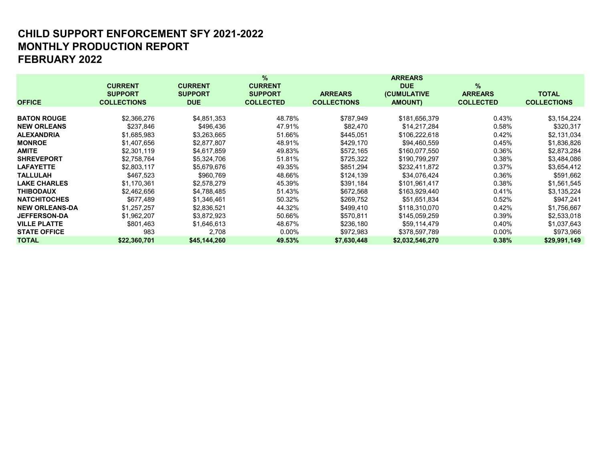# MONTHLY PRODUCTION REPORT FEBRUARY 2022 CHILD SUPPORT ENFORCEMENT SFY 2021-2022

|                       |                    |                | %                |                    | <b>ARREARS</b>  |                  |                    |
|-----------------------|--------------------|----------------|------------------|--------------------|-----------------|------------------|--------------------|
|                       | <b>CURRENT</b>     | <b>CURRENT</b> | <b>CURRENT</b>   |                    | <b>DUE</b>      | %                |                    |
|                       | <b>SUPPORT</b>     | <b>SUPPORT</b> | <b>SUPPORT</b>   | <b>ARREARS</b>     | (CUMULATIVE     | <b>ARREARS</b>   | <b>TOTAL</b>       |
| <b>OFFICE</b>         | <b>COLLECTIONS</b> | <b>DUE</b>     | <b>COLLECTED</b> | <b>COLLECTIONS</b> | <b>AMOUNT)</b>  | <b>COLLECTED</b> | <b>COLLECTIONS</b> |
|                       |                    |                |                  |                    |                 |                  |                    |
| <b>BATON ROUGE</b>    | \$2,366,276        | \$4,851,353    | 48.78%           | \$787,949          | \$181,656,379   | 0.43%            | \$3,154,224        |
| <b>NEW ORLEANS</b>    | \$237,846          | \$496,436      | 47.91%           | \$82,470           | \$14,217,284    | $0.58\%$         | \$320,317          |
| <b>ALEXANDRIA</b>     | \$1,685,983        | \$3,263,665    | 51.66%           | \$445,051          | \$106,222,618   | 0.42%            | \$2,131,034        |
| <b>MONROE</b>         | \$1,407,656        | \$2,877,807    | 48.91%           | \$429,170          | \$94,460,559    | 0.45%            | \$1,836,826        |
| <b>AMITE</b>          | \$2,301,119        | \$4,617,859    | 49.83%           | \$572,165          | \$160,077,550   | 0.36%            | \$2,873,284        |
| <b>SHREVEPORT</b>     | \$2,758,764        | \$5,324,706    | 51.81%           | \$725,322          | \$190,799,297   | 0.38%            | \$3,484,086        |
| <b>LAFAYETTE</b>      | \$2,803,117        | \$5,679,676    | 49.35%           | \$851,294          | \$232,411,872   | 0.37%            | \$3,654,412        |
| <b>TALLULAH</b>       | \$467,523          | \$960,769      | 48.66%           | \$124,139          | \$34,076,424    | 0.36%            | \$591,662          |
| <b>LAKE CHARLES</b>   | \$1,170,361        | \$2,578,279    | 45.39%           | \$391,184          | \$101,961,417   | 0.38%            | \$1,561,545        |
| <b>THIBODAUX</b>      | \$2,462,656        | \$4,788,485    | 51.43%           | \$672,568          | \$163,929,440   | 0.41%            | \$3,135,224        |
| <b>NATCHITOCHES</b>   | \$677,489          | \$1,346,461    | 50.32%           | \$269,752          | \$51,651,834    | $0.52\%$         | \$947,241          |
| <b>NEW ORLEANS-DA</b> | \$1,257,257        | \$2,836,521    | 44.32%           | \$499,410          | \$118,310,070   | 0.42%            | \$1,756,667        |
| <b>JEFFERSON-DA</b>   | \$1,962,207        | \$3,872,923    | 50.66%           | \$570,811          | \$145,059,259   | 0.39%            | \$2,533,018        |
| <b>VILLE PLATTE</b>   | \$801,463          | \$1,646,613    | 48.67%           | \$236,180          | \$59,114,479    | 0.40%            | \$1,037,643        |
| <b>STATE OFFICE</b>   | 983                | 2,708          | $0.00\%$         | \$972,983          | \$378,597,789   | $0.00\%$         | \$973,966          |
| <b>TOTAL</b>          | \$22,360,701       | \$45,144,260   | 49.53%           | \$7,630,448        | \$2,032,546,270 | 0.38%            | \$29,991,149       |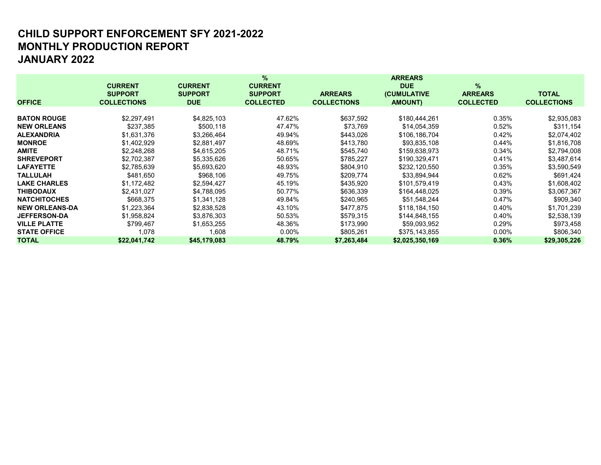# MONTHLY PRODUCTION REPORT JANUARY 2022 CHILD SUPPORT ENFORCEMENT SFY 2021-2022

|                       |                    |                | $\%$             |                    | <b>ARREARS</b>  |                  |                    |
|-----------------------|--------------------|----------------|------------------|--------------------|-----------------|------------------|--------------------|
|                       | <b>CURRENT</b>     | <b>CURRENT</b> | <b>CURRENT</b>   |                    | <b>DUE</b>      | %                |                    |
|                       | <b>SUPPORT</b>     | <b>SUPPORT</b> | <b>SUPPORT</b>   | <b>ARREARS</b>     | (CUMULATIVE     | <b>ARREARS</b>   | <b>TOTAL</b>       |
| <b>OFFICE</b>         | <b>COLLECTIONS</b> | <b>DUE</b>     | <b>COLLECTED</b> | <b>COLLECTIONS</b> | <b>AMOUNT)</b>  | <b>COLLECTED</b> | <b>COLLECTIONS</b> |
|                       |                    |                |                  |                    |                 |                  |                    |
| <b>BATON ROUGE</b>    | \$2,297,491        | \$4,825,103    | 47.62%           | \$637,592          | \$180,444,261   | 0.35%            | \$2,935,083        |
| <b>NEW ORLEANS</b>    | \$237,385          | \$500,118      | 47.47%           | \$73,769           | \$14,054,359    | 0.52%            | \$311,154          |
| <b>ALEXANDRIA</b>     | \$1,631,376        | \$3,266,464    | 49.94%           | \$443,026          | \$106,186,704   | 0.42%            | \$2,074,402        |
| <b>MONROE</b>         | \$1,402,929        | \$2,881,497    | 48.69%           | \$413,780          | \$93,835,108    | 0.44%            | \$1,816,708        |
| <b>AMITE</b>          | \$2,248,268        | \$4,615,205    | 48.71%           | \$545,740          | \$159.638.973   | 0.34%            | \$2,794,008        |
| <b>SHREVEPORT</b>     | \$2,702,387        | \$5,335,626    | 50.65%           | \$785,227          | \$190,329,471   | 0.41%            | \$3,487,614        |
| <b>LAFAYETTE</b>      | \$2,785,639        | \$5,693,620    | 48.93%           | \$804,910          | \$232,120,550   | 0.35%            | \$3,590,549        |
| <b>TALLULAH</b>       | \$481,650          | \$968,106      | 49.75%           | \$209,774          | \$33,894,944    | 0.62%            | \$691,424          |
| <b>LAKE CHARLES</b>   | \$1,172,482        | \$2,594,427    | 45.19%           | \$435,920          | \$101,579,419   | 0.43%            | \$1,608,402        |
| <b>THIBODAUX</b>      | \$2,431,027        | \$4,788,095    | 50.77%           | \$636,339          | \$164,448,025   | 0.39%            | \$3,067,367        |
| <b>NATCHITOCHES</b>   | \$668,375          | \$1,341,128    | 49.84%           | \$240,965          | \$51,548,244    | 0.47%            | \$909,340          |
| <b>NEW ORLEANS-DA</b> | \$1,223,364        | \$2,838,528    | 43.10%           | \$477,875          | \$118,184,150   | 0.40%            | \$1,701,239        |
| <b>JEFFERSON-DA</b>   | \$1,958,824        | \$3,876,303    | 50.53%           | \$579,315          | \$144,848,155   | 0.40%            | \$2,538,139        |
| <b>VILLE PLATTE</b>   | \$799.467          | \$1,653,255    | 48.36%           | \$173,990          | \$59,093,952    | 0.29%            | \$973,458          |
| <b>STATE OFFICE</b>   | 1,078              | 1,608          | $0.00\%$         | \$805,261          | \$375,143,855   | $0.00\%$         | \$806,340          |
| <b>TOTAL</b>          | \$22,041,742       | \$45,179,083   | 48.79%           | \$7,263,484        | \$2,025,350,169 | 0.36%            | \$29,305,226       |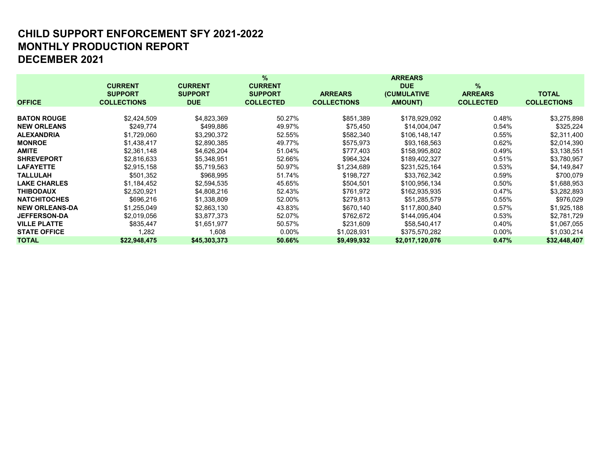# MONTHLY PRODUCTION REPORT DECEMBER 2021 CHILD SUPPORT ENFORCEMENT SFY 2021-2022

|                       |                    |                | %                |                    | <b>ARREARS</b>      |                  |                    |
|-----------------------|--------------------|----------------|------------------|--------------------|---------------------|------------------|--------------------|
|                       | <b>CURRENT</b>     | <b>CURRENT</b> | <b>CURRENT</b>   |                    | <b>DUE</b>          | $\%$             |                    |
|                       | <b>SUPPORT</b>     | <b>SUPPORT</b> | <b>SUPPORT</b>   | <b>ARREARS</b>     | <b>(CUMULATIVE)</b> | <b>ARREARS</b>   | <b>TOTAL</b>       |
| <b>OFFICE</b>         | <b>COLLECTIONS</b> | <b>DUE</b>     | <b>COLLECTED</b> | <b>COLLECTIONS</b> | <b>AMOUNT)</b>      | <b>COLLECTED</b> | <b>COLLECTIONS</b> |
|                       |                    |                |                  |                    |                     |                  |                    |
| <b>BATON ROUGE</b>    | \$2,424,509        | \$4,823,369    | 50.27%           | \$851,389          | \$178,929,092       | 0.48%            | \$3,275,898        |
| <b>NEW ORLEANS</b>    | \$249,774          | \$499,886      | 49.97%           | \$75,450           | \$14,004,047        | 0.54%            | \$325,224          |
| <b>ALEXANDRIA</b>     | \$1,729,060        | \$3,290,372    | 52.55%           | \$582,340          | \$106,148,147       | 0.55%            | \$2,311,400        |
| <b>MONROE</b>         | \$1,438,417        | \$2,890,385    | 49.77%           | \$575,973          | \$93,168,563        | 0.62%            | \$2,014,390        |
| <b>AMITE</b>          | \$2,361,148        | \$4,626,204    | 51.04%           | \$777,403          | \$158,995,802       | 0.49%            | \$3,138,551        |
| <b>SHREVEPORT</b>     | \$2,816,633        | \$5,348,951    | 52.66%           | \$964,324          | \$189,402,327       | 0.51%            | \$3,780,957        |
| <b>LAFAYETTE</b>      | \$2,915,158        | \$5,719,563    | 50.97%           | \$1,234,689        | \$231,525,164       | 0.53%            | \$4,149,847        |
| <b>TALLULAH</b>       | \$501,352          | \$968,995      | 51.74%           | \$198,727          | \$33,762,342        | 0.59%            | \$700,079          |
| <b>LAKE CHARLES</b>   | \$1,184,452        | \$2,594,535    | 45.65%           | \$504,501          | \$100,956,134       | 0.50%            | \$1,688,953        |
| <b>THIBODAUX</b>      | \$2,520,921        | \$4,808,216    | 52.43%           | \$761,972          | \$162,935,935       | 0.47%            | \$3,282,893        |
| <b>NATCHITOCHES</b>   | \$696,216          | \$1,338,809    | 52.00%           | \$279,813          | \$51,285,579        | 0.55%            | \$976,029          |
| <b>NEW ORLEANS-DA</b> | \$1,255,049        | \$2,863,130    | 43.83%           | \$670,140          | \$117,800,840       | 0.57%            | \$1,925,188        |
| <b>JEFFERSON-DA</b>   | \$2,019,056        | \$3,877,373    | 52.07%           | \$762,672          | \$144,095,404       | 0.53%            | \$2,781,729        |
| <b>VILLE PLATTE</b>   | \$835,447          | \$1,651,977    | 50.57%           | \$231,609          | \$58,540,417        | 0.40%            | \$1,067,055        |
| <b>STATE OFFICE</b>   | 1,282              | 1.608          | $0.00\%$         | \$1,028,931        | \$375,570,282       | $0.00\%$         | \$1,030,214        |
| <b>TOTAL</b>          | \$22,948,475       | \$45,303,373   | 50.66%           | \$9,499,932        | \$2,017,120,076     | 0.47%            | \$32,448,407       |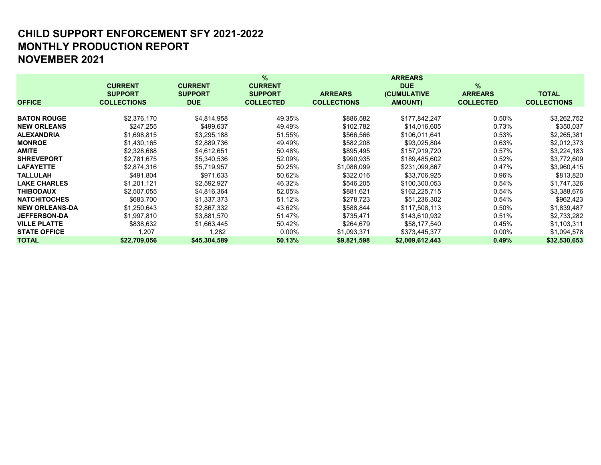# MONTHLY PRODUCTION REPORT NOVEMBER 2021 CHILD SUPPORT ENFORCEMENT SFY 2021-2022

|                       |                    |                | $\%$             |                    | <b>ARREARS</b>  |                  |                    |
|-----------------------|--------------------|----------------|------------------|--------------------|-----------------|------------------|--------------------|
|                       | <b>CURRENT</b>     | <b>CURRENT</b> | <b>CURRENT</b>   |                    | <b>DUE</b>      | $\%$             |                    |
|                       | <b>SUPPORT</b>     | <b>SUPPORT</b> | <b>SUPPORT</b>   | <b>ARREARS</b>     | (CUMULATIVE     | <b>ARREARS</b>   | <b>TOTAL</b>       |
| <b>OFFICE</b>         | <b>COLLECTIONS</b> | <b>DUE</b>     | <b>COLLECTED</b> | <b>COLLECTIONS</b> | <b>AMOUNT)</b>  | <b>COLLECTED</b> | <b>COLLECTIONS</b> |
|                       |                    |                |                  |                    |                 |                  |                    |
| <b>BATON ROUGE</b>    | \$2,376,170        | \$4,814,958    | 49.35%           | \$886,582          | \$177,842,247   | 0.50%            | \$3,262,752        |
| <b>NEW ORLEANS</b>    | \$247,255          | \$499,637      | 49.49%           | \$102,782          | \$14,016,605    | 0.73%            | \$350,037          |
| <b>ALEXANDRIA</b>     | \$1,698,815        | \$3,295,188    | 51.55%           | \$566,566          | \$106,011,641   | 0.53%            | \$2,265,381        |
| <b>MONROE</b>         | \$1,430,165        | \$2,889,736    | 49.49%           | \$582,208          | \$93,025,804    | 0.63%            | \$2,012,373        |
| <b>AMITE</b>          | \$2,328,688        | \$4,612,651    | 50.48%           | \$895,495          | \$157,919,720   | 0.57%            | \$3,224,183        |
| <b>SHREVEPORT</b>     | \$2,781,675        | \$5,340,536    | 52.09%           | \$990,935          | \$189,485,602   | 0.52%            | \$3,772,609        |
| <b>LAFAYETTE</b>      | \$2.874.316        | \$5.719.957    | 50.25%           | \$1,086,099        | \$231,099,867   | 0.47%            | \$3,960,415        |
| <b>TALLULAH</b>       | \$491.804          | \$971.633      | 50.62%           | \$322,016          | \$33,706,925    | 0.96%            | \$813,820          |
| <b>LAKE CHARLES</b>   | \$1,201,121        | \$2,592,927    | 46.32%           | \$546,205          | \$100,300,053   | 0.54%            | \$1,747,326        |
| <b>THIBODAUX</b>      | \$2,507,055        | \$4,816,364    | 52.05%           | \$881,621          | \$162,225,715   | 0.54%            | \$3,388,676        |
| <b>NATCHITOCHES</b>   | \$683,700          | \$1,337,373    | 51.12%           | \$278,723          | \$51,236,302    | 0.54%            | \$962,423          |
| <b>NEW ORLEANS-DA</b> | \$1,250,643        | \$2,867,332    | 43.62%           | \$588,844          | \$117,508,113   | 0.50%            | \$1,839,487        |
| <b>JEFFERSON-DA</b>   | \$1,997,810        | \$3,881,570    | 51.47%           | \$735,471          | \$143,610,932   | 0.51%            | \$2,733,282        |
| <b>VILLE PLATTE</b>   | \$838.632          | \$1,663,445    | 50.42%           | \$264,679          | \$58,177,540    | 0.45%            | \$1,103,311        |
| <b>STATE OFFICE</b>   | 1,207              | 1,282          | $0.00\%$         | \$1,093,371        | \$373,445,377   | $0.00\%$         | \$1,094,578        |
| <b>TOTAL</b>          | \$22,709,056       | \$45,304,589   | 50.13%           | \$9,821,598        | \$2,009,612,443 | 0.49%            | \$32,530,653       |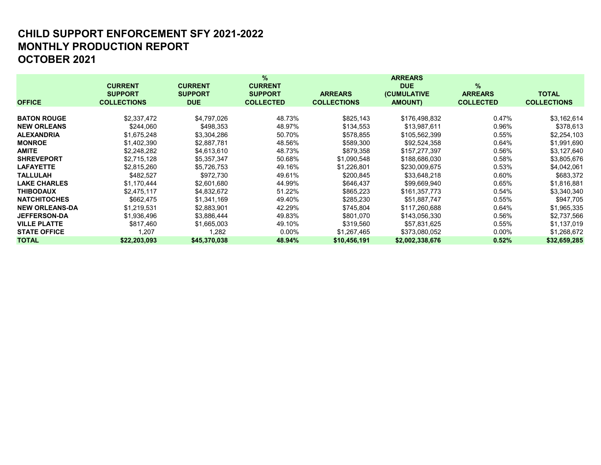# MONTHLY PRODUCTION REPORT OCTOBER 2021 CHILD SUPPORT ENFORCEMENT SFY 2021-2022

|                       |                    |                | %                |                    | <b>ARREARS</b>      |                  |                    |
|-----------------------|--------------------|----------------|------------------|--------------------|---------------------|------------------|--------------------|
|                       | <b>CURRENT</b>     | <b>CURRENT</b> | <b>CURRENT</b>   |                    | <b>DUE</b>          | $\%$             |                    |
|                       | <b>SUPPORT</b>     | <b>SUPPORT</b> | <b>SUPPORT</b>   | <b>ARREARS</b>     | <b>(CUMULATIVE)</b> | <b>ARREARS</b>   | <b>TOTAL</b>       |
| <b>OFFICE</b>         | <b>COLLECTIONS</b> | <b>DUE</b>     | <b>COLLECTED</b> | <b>COLLECTIONS</b> | <b>AMOUNT)</b>      | <b>COLLECTED</b> | <b>COLLECTIONS</b> |
|                       |                    |                |                  |                    |                     |                  |                    |
| <b>BATON ROUGE</b>    | \$2,337,472        | \$4,797,026    | 48.73%           | \$825,143          | \$176,498,832       | 0.47%            | \$3,162,614        |
| <b>NEW ORLEANS</b>    | \$244,060          | \$498,353      | 48.97%           | \$134,553          | \$13,987,611        | 0.96%            | \$378,613          |
| <b>ALEXANDRIA</b>     | \$1,675,248        | \$3,304,286    | 50.70%           | \$578,855          | \$105,562,399       | 0.55%            | \$2,254,103        |
| <b>MONROE</b>         | \$1,402,390        | \$2,887,781    | 48.56%           | \$589,300          | \$92,524,358        | 0.64%            | \$1,991,690        |
| <b>AMITE</b>          | \$2,248,282        | \$4,613,610    | 48.73%           | \$879,358          | \$157,277,397       | 0.56%            | \$3,127,640        |
| <b>SHREVEPORT</b>     | \$2,715,128        | \$5,357,347    | 50.68%           | \$1,090,548        | \$188,686,030       | 0.58%            | \$3,805,676        |
| <b>LAFAYETTE</b>      | \$2,815,260        | \$5,726,753    | 49.16%           | \$1,226,801        | \$230,009,675       | 0.53%            | \$4,042,061        |
| <b>TALLULAH</b>       | \$482,527          | \$972,730      | 49.61%           | \$200,845          | \$33,648,218        | 0.60%            | \$683,372          |
| <b>LAKE CHARLES</b>   | \$1,170,444        | \$2,601,680    | 44.99%           | \$646,437          | \$99,669,940        | 0.65%            | \$1,816,881        |
| <b>THIBODAUX</b>      | \$2,475,117        | \$4,832,672    | 51.22%           | \$865,223          | \$161,357,773       | 0.54%            | \$3,340,340        |
| <b>NATCHITOCHES</b>   | \$662,475          | \$1,341,169    | 49.40%           | \$285,230          | \$51,887,747        | 0.55%            | \$947,705          |
| <b>NEW ORLEANS-DA</b> | \$1,219,531        | \$2,883,901    | 42.29%           | \$745,804          | \$117,260,688       | 0.64%            | \$1,965,335        |
| <b>JEFFERSON-DA</b>   | \$1,936,496        | \$3,886,444    | 49.83%           | \$801,070          | \$143,056,330       | 0.56%            | \$2,737,566        |
| <b>VILLE PLATTE</b>   | \$817,460          | \$1,665,003    | 49.10%           | \$319,560          | \$57,831,625        | 0.55%            | \$1,137,019        |
| <b>STATE OFFICE</b>   | 1,207              | 282. ا         | $0.00\%$         | \$1,267,465        | \$373,080,052       | $0.00\%$         | \$1,268,672        |
| <b>TOTAL</b>          | \$22,203,093       | \$45,370,038   | 48.94%           | \$10,456,191       | \$2,002,338,676     | 0.52%            | \$32,659,285       |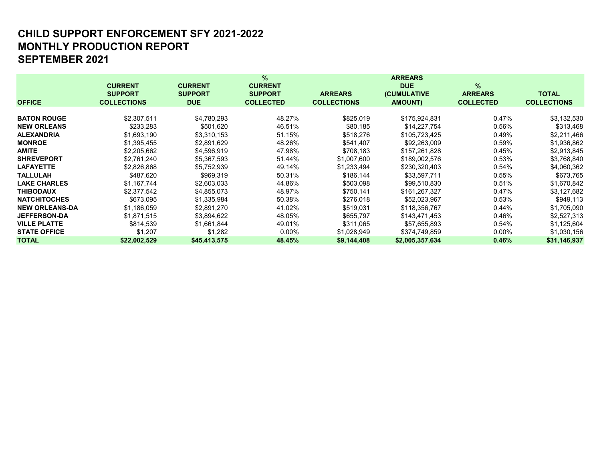## MONTHLY PRODUCTION REPORT SEPTEMBER 2021 CHILD SUPPORT ENFORCEMENT SFY 2021-2022

|                       |                    |                | $\%$             |                    | <b>ARREARS</b>      |                  |                    |
|-----------------------|--------------------|----------------|------------------|--------------------|---------------------|------------------|--------------------|
|                       | <b>CURRENT</b>     | <b>CURRENT</b> | <b>CURRENT</b>   |                    | <b>DUE</b>          | $\%$             |                    |
|                       | <b>SUPPORT</b>     | <b>SUPPORT</b> | <b>SUPPORT</b>   | <b>ARREARS</b>     | <b>(CUMULATIVE)</b> | <b>ARREARS</b>   | <b>TOTAL</b>       |
| <b>OFFICE</b>         | <b>COLLECTIONS</b> | <b>DUE</b>     | <b>COLLECTED</b> | <b>COLLECTIONS</b> | <b>AMOUNT)</b>      | <b>COLLECTED</b> | <b>COLLECTIONS</b> |
|                       |                    |                |                  |                    |                     |                  |                    |
| <b>BATON ROUGE</b>    | \$2,307,511        | \$4,780,293    | 48.27%           | \$825,019          | \$175,924,831       | 0.47%            | \$3,132,530        |
| <b>NEW ORLEANS</b>    | \$233,283          | \$501,620      | 46.51%           | \$80,185           | \$14,227,754        | 0.56%            | \$313,468          |
| <b>ALEXANDRIA</b>     | \$1,693,190        | \$3,310,153    | 51.15%           | \$518,276          | \$105,723,425       | 0.49%            | \$2,211,466        |
| <b>MONROE</b>         | \$1,395,455        | \$2,891,629    | 48.26%           | \$541,407          | \$92,263,009        | 0.59%            | \$1,936,862        |
| <b>AMITE</b>          | \$2,205,662        | \$4,596,919    | 47.98%           | \$708,183          | \$157,261,828       | 0.45%            | \$2,913,845        |
| <b>SHREVEPORT</b>     | \$2,761,240        | \$5,367,593    | 51.44%           | \$1,007,600        | \$189,002,576       | 0.53%            | \$3,768,840        |
| <b>LAFAYETTE</b>      | \$2,826,868        | \$5,752,939    | 49.14%           | \$1,233,494        | \$230,320,403       | 0.54%            | \$4,060,362        |
| <b>TALLULAH</b>       | \$487.620          | \$969,319      | 50.31%           | \$186,144          | \$33,597,711        | 0.55%            | \$673,765          |
| <b>LAKE CHARLES</b>   | \$1,167,744        | \$2,603,033    | 44.86%           | \$503,098          | \$99,510,830        | 0.51%            | \$1,670,842        |
| <b>THIBODAUX</b>      | \$2,377,542        | \$4,855,073    | 48.97%           | \$750,141          | \$161,267,327       | 0.47%            | \$3,127,682        |
| <b>NATCHITOCHES</b>   | \$673,095          | \$1,335,984    | 50.38%           | \$276,018          | \$52,023,967        | 0.53%            | \$949,113          |
| <b>NEW ORLEANS-DA</b> | \$1,186,059        | \$2,891,270    | 41.02%           | \$519,031          | \$118,356,767       | 0.44%            | \$1,705,090        |
| <b>JEFFERSON-DA</b>   | \$1,871,515        | \$3,894,622    | 48.05%           | \$655,797          | \$143,471,453       | 0.46%            | \$2,527,313        |
| <b>VILLE PLATTE</b>   | \$814,539          | \$1,661,844    | 49.01%           | \$311,065          | \$57,655,893        | 0.54%            | \$1,125,604        |
| <b>STATE OFFICE</b>   | \$1,207            | \$1,282        | $0.00\%$         | \$1,028,949        | \$374,749,859       | $0.00\%$         | \$1,030,156        |
| <b>TOTAL</b>          | \$22,002,529       | \$45,413,575   | 48.45%           | \$9,144,408        | \$2,005,357,634     | 0.46%            | \$31,146,937       |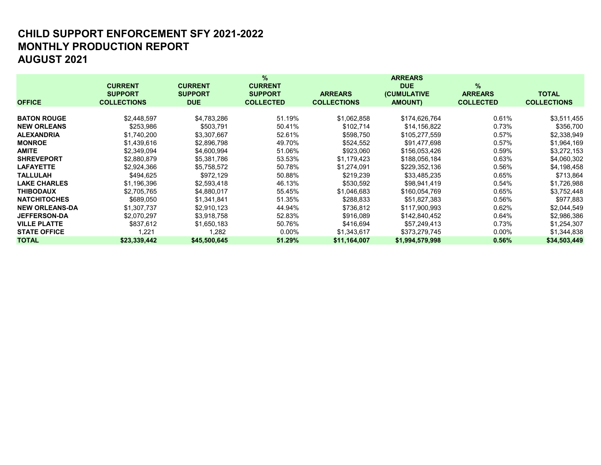# MONTHLY PRODUCTION REPORT AUGUST 2021 CHILD SUPPORT ENFORCEMENT SFY 2021-2022

|                       |                    |                | %                |                    | <b>ARREARS</b>      |                  |                    |
|-----------------------|--------------------|----------------|------------------|--------------------|---------------------|------------------|--------------------|
|                       | <b>CURRENT</b>     | <b>CURRENT</b> | <b>CURRENT</b>   |                    | <b>DUE</b>          | $\%$             |                    |
|                       | <b>SUPPORT</b>     | <b>SUPPORT</b> | <b>SUPPORT</b>   | <b>ARREARS</b>     | <b>(CUMULATIVE)</b> | <b>ARREARS</b>   | <b>TOTAL</b>       |
| <b>OFFICE</b>         | <b>COLLECTIONS</b> | <b>DUE</b>     | <b>COLLECTED</b> | <b>COLLECTIONS</b> | <b>AMOUNT)</b>      | <b>COLLECTED</b> | <b>COLLECTIONS</b> |
|                       |                    |                |                  |                    |                     |                  |                    |
| <b>BATON ROUGE</b>    | \$2,448,597        | \$4,783,286    | 51.19%           | \$1,062,858        | \$174,626,764       | 0.61%            | \$3,511,455        |
| <b>NEW ORLEANS</b>    | \$253,986          | \$503,791      | 50.41%           | \$102,714          | \$14,156,822        | 0.73%            | \$356,700          |
| <b>ALEXANDRIA</b>     | \$1,740,200        | \$3,307,667    | 52.61%           | \$598,750          | \$105,277,559       | 0.57%            | \$2,338,949        |
| <b>MONROE</b>         | \$1,439,616        | \$2,896,798    | 49.70%           | \$524,552          | \$91,477,698        | 0.57%            | \$1,964,169        |
| <b>AMITE</b>          | \$2,349,094        | \$4,600,994    | 51.06%           | \$923,060          | \$156,053,426       | 0.59%            | \$3,272,153        |
| <b>SHREVEPORT</b>     | \$2,880,879        | \$5,381,786    | 53.53%           | \$1,179,423        | \$188,056,184       | 0.63%            | \$4,060,302        |
| <b>LAFAYETTE</b>      | \$2,924,366        | \$5,758,572    | 50.78%           | \$1,274,091        | \$229,352,136       | 0.56%            | \$4,198,458        |
| <b>TALLULAH</b>       | \$494.625          | \$972,129      | 50.88%           | \$219,239          | \$33,485,235        | 0.65%            | \$713,864          |
| <b>LAKE CHARLES</b>   | \$1,196,396        | \$2,593,418    | 46.13%           | \$530,592          | \$98,941,419        | 0.54%            | \$1,726,988        |
| <b>THIBODAUX</b>      | \$2,705,765        | \$4,880,017    | 55.45%           | \$1,046,683        | \$160,054,769       | 0.65%            | \$3,752,448        |
| <b>NATCHITOCHES</b>   | \$689,050          | \$1,341,841    | 51.35%           | \$288,833          | \$51,827,383        | 0.56%            | \$977,883          |
| <b>NEW ORLEANS-DA</b> | \$1,307,737        | \$2,910,123    | 44.94%           | \$736,812          | \$117,900,993       | 0.62%            | \$2,044,549        |
| <b>JEFFERSON-DA</b>   | \$2,070,297        | \$3,918,758    | 52.83%           | \$916,089          | \$142,840,452       | 0.64%            | \$2,986,386        |
| <b>VILLE PLATTE</b>   | \$837,612          | \$1,650,183    | 50.76%           | \$416,694          | \$57,249,413        | 0.73%            | \$1,254,307        |
| <b>STATE OFFICE</b>   | 1,221              | 282, ا         | $0.00\%$         | \$1,343,617        | \$373,279,745       | $0.00\%$         | \$1,344,838        |
| <b>TOTAL</b>          | \$23,339,442       | \$45,500,645   | 51.29%           | \$11,164,007       | \$1,994,579,998     | 0.56%            | \$34,503,449       |